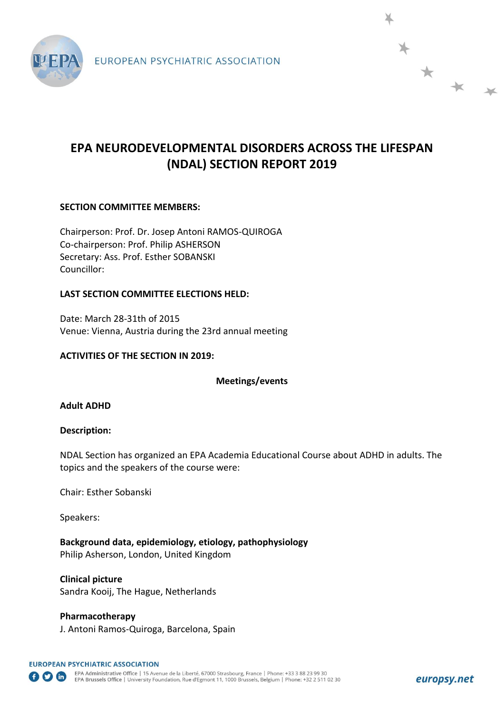

# **EPA NEURODEVELOPMENTAL DISORDERS ACROSS THE LIFESPAN (NDAL) SECTION REPORT 2019**

# **SECTION COMMITTEE MEMBERS:**

Chairperson: Prof. Dr. Josep Antoni RAMOS-QUIROGA Co-chairperson: Prof. Philip ASHERSON Secretary: Ass. Prof. Esther SOBANSKI Councillor:

## **LAST SECTION COMMITTEE ELECTIONS HELD:**

Date: March 28-31th of 2015 Venue: Vienna, Austria during the 23rd annual meeting

## **ACTIVITIES OF THE SECTION IN 2019:**

**Meetings/events**

## **Adult ADHD**

## **Description:**

NDAL Section has organized an EPA Academia Educational Course about ADHD in adults. The topics and the speakers of the course were:

Chair: Esther Sobanski

Speakers:

**Background data, epidemiology, etiology, pathophysiology** Philip Asherson, London, United Kingdom

**Clinical picture**  Sandra Kooij, The Hague, Netherlands

**Pharmacotherapy**  J. Antoni Ramos-Quiroga, Barcelona, Spain \* \* \*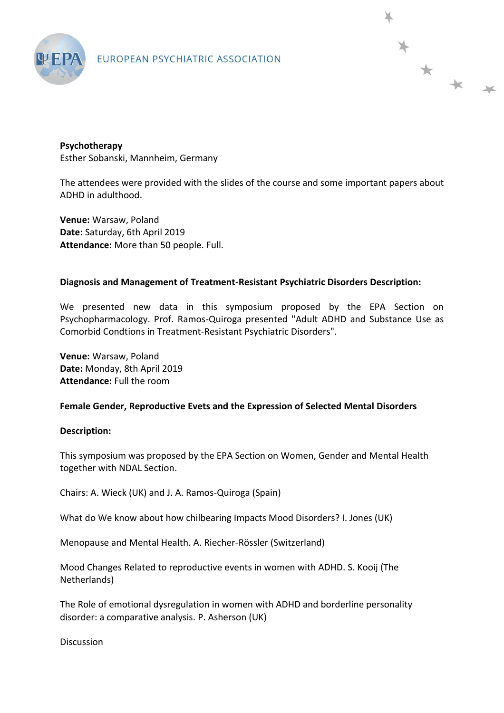

EUROPEAN PSYCHIATRIC ASSOCIATION

**Psychotherapy**  Esther Sobanski, Mannheim, Germany

The attendees were provided with the slides of the course and some important papers about ADHD in adulthood.

\* \* \*

**Venue:** Warsaw, Poland **Date:** Saturday, 6th April 2019 **Attendance:** More than 50 people. Full.

#### **Diagnosis and Management of Treatment-Resistant Psychiatric Disorders Description:**

We presented new data in this symposium proposed by the EPA Section on Psychopharmacology. Prof. Ramos-Quiroga presented "Adult ADHD and Substance Use as Comorbid Condtions in Treatment-Resistant Psychiatric Disorders".

**Venue:** Warsaw, Poland **Date:** Monday, 8th April 2019 **Attendance:** Full the room

## **Female Gender, Reproductive Evets and the Expression of Selected Mental Disorders**

## **Description:**

This symposium was proposed by the EPA Section on Women, Gender and Mental Health together with NDAL Section.

Chairs: A. Wieck (UK) and J. A. Ramos-Quiroga (Spain)

What do We know about how chilbearing Impacts Mood Disorders? I. Jones (UK)

Menopause and Mental Health. A. Riecher-Rössler (Switzerland)

Mood Changes Related to reproductive events in women with ADHD. S. Kooij (The Netherlands)

The Role of emotional dysregulation in women with ADHD and borderline personality disorder: a comparative analysis. P. Asherson (UK)

**Discussion**